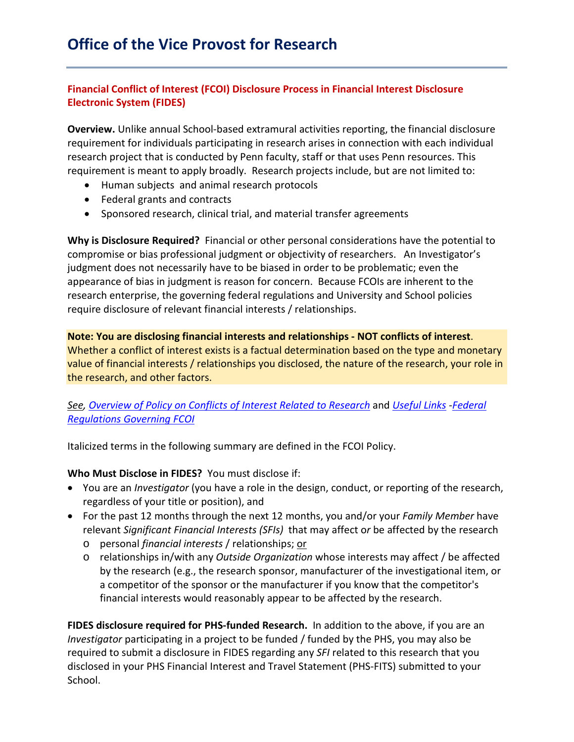# **Financial Conflict of Interest (FCOI) Disclosure Process in Financial Interest Disclosure Electronic System (FIDES)**

**Overview.** Unlike annual School-based extramural activities reporting, the financial disclosure requirement for individuals participating in research arises in connection with each individual research project that is conducted by Penn faculty, staff or that uses Penn resources. This requirement is meant to apply broadly. Research projects include, but are not limited to:

- Human subjects and animal research protocols
- Federal grants and contracts
- Sponsored research, clinical trial, and material transfer agreements

**Why is Disclosure Required?** Financial or other personal considerations have the potential to compromise or bias professional judgment or objectivity of researchers. An Investigator's judgment does not necessarily have to be biased in order to be problematic; even the appearance of bias in judgment is reason for concern. Because FCOIs are inherent to the research enterprise, the governing federal regulations and University and School policies require disclosure of relevant financial interests / relationships.

**Note: You are disclosing financial interests and relationships - NOT conflicts of interest**. Whether a conflict of interest exists is a factual determination based on the type and monetary value of financial interests / relationships you disclosed, the nature of the research, your role in the research, and other factors.

## *See, [Overview of Policy on Conflicts of Interest Related to Research](https://research.upenn.edu/wp-content/uploads/FCOI-Policy-Overview-5-28-19.pdf)* and *[Useful Links](http://grants.nih.gov/grants/policy/coi/fcoi_final_rule.pdf) [-Federal](http://www.upenn.edu/research/pdf/2011_Amended_Reg.pdf)  [Regulations Governing FCOI](http://www.upenn.edu/research/pdf/2011_Amended_Reg.pdf)*

Italicized terms in the following summary are defined in the FCOI Policy.

### **Who Must Disclose in FIDES?** You must disclose if:

- You are an *Investigator* (you have a role in the design, conduct, or reporting of the research, regardless of your title or position), and
- For the past 12 months through the next 12 months, you and/or your *Family Member* have relevant *Significant Financial Interests (SFIs)* that may affect o*r* be affected by the research
	- o personal *financial interests* / relationships; or
	- o relationships in/with any *Outside Organization* whose interests may affect / be affected by the research (e.g., the research sponsor, manufacturer of the investigational item, or a competitor of the sponsor or the manufacturer if you know that the competitor's financial interests would reasonably appear to be affected by the research.

**FIDES disclosure required for PHS-funded Research.** In addition to the above, if you are an *Investigator* participating in a project to be funded / funded by the PHS, you may also be required to submit a disclosure in FIDES regarding any *SFI* related to this research that you disclosed in your PHS Financial Interest and Travel Statement (PHS-FITS) submitted to your School.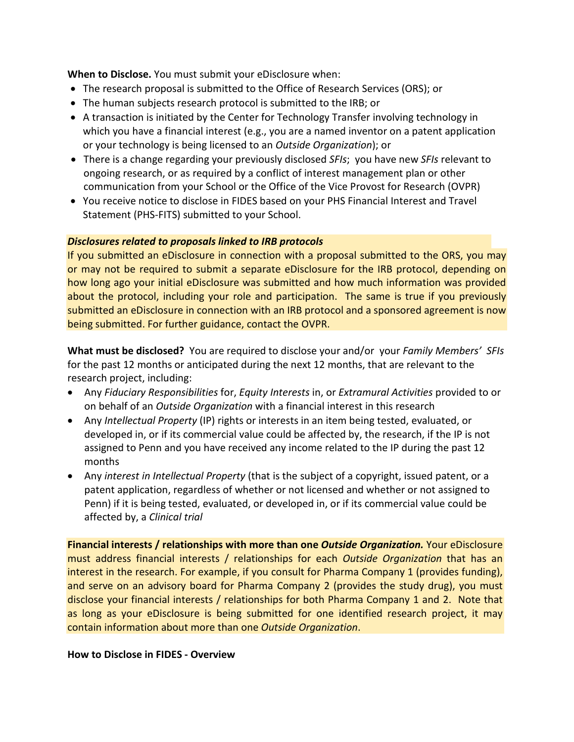**When to Disclose.** You must submit your eDisclosure when:

- The research proposal is submitted to the Office of Research Services (ORS); or
- The human subjects research protocol is submitted to the IRB; or
- A transaction is initiated by the Center for Technology Transfer involving technology in which you have a financial interest (e.g., you are a named inventor on a patent application or your technology is being licensed to an *Outside Organization*); or
- There is a change regarding your previously disclosed *SFIs*; you have new *SFIs* relevant to ongoing research, or as required by a conflict of interest management plan or other communication from your School or the Office of the Vice Provost for Research (OVPR)
- You receive notice to disclose in FIDES based on your PHS Financial Interest and Travel Statement (PHS-FITS) submitted to your School.

### *Disclosures related to proposals linked to IRB protocols*

If you submitted an eDisclosure in connection with a proposal submitted to the ORS, you may or may not be required to submit a separate eDisclosure for the IRB protocol, depending on how long ago your initial eDisclosure was submitted and how much information was provided about the protocol, including your role and participation. The same is true if you previously submitted an eDisclosure in connection with an IRB protocol and a sponsored agreement is now being submitted. For further guidance, contact the OVPR.

**What must be disclosed?** You are required to disclose your and/or your *Family Members' SFIs*  for the past 12 months or anticipated during the next 12 months, that are relevant to the research project, including:

- Any *Fiduciary Responsibilities* for, *Equity Interests* in, or *Extramural Activities* provided to or on behalf of an *Outside Organization* with a financial interest in this research
- Any *Intellectual Property* (IP) rights or interests in an item being tested, evaluated, or developed in, or if its commercial value could be affected by, the research, if the IP is not assigned to Penn and you have received any income related to the IP during the past 12 months
- Any *interest in Intellectual Property* (that is the subject of a copyright, issued patent, or a patent application, regardless of whether or not licensed and whether or not assigned to Penn) if it is being tested, evaluated, or developed in, or if its commercial value could be affected by, a *Clinical trial*

**Financial interests / relationships with more than one** *Outside Organization.* Your eDisclosure must address financial interests / relationships for each *Outside Organization* that has an interest in the research. For example, if you consult for Pharma Company 1 (provides funding), and serve on an advisory board for Pharma Company 2 (provides the study drug), you must disclose your financial interests / relationships for both Pharma Company 1 and 2. Note that as long as your eDisclosure is being submitted for one identified research project, it may contain information about more than one *Outside Organization*.

### **How to Disclose in FIDES - Overview**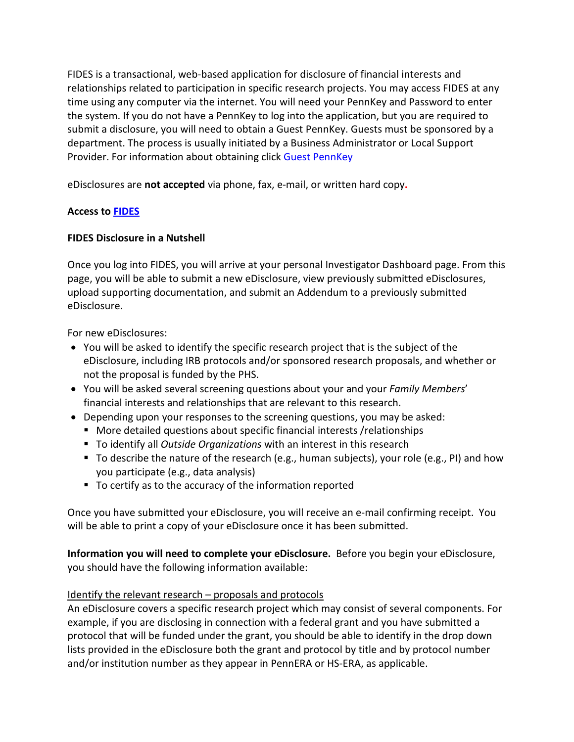FIDES is a transactional, web-based application for disclosure of financial interests and relationships related to participation in specific research projects. You may access FIDES at any time using any computer via the internet. You will need your PennKey and Password to enter the system. If you do not have a PennKey to log into the application, but you are required to submit a disclosure, you will need to obtain a Guest PennKey. Guests must be sponsored by a department. The process is usually initiated by a Business Administrator or Local Support Provider. For information about obtaining click [Guest PennKey](https://pennkeysupport.upenn.edu/help-for-guests)

eDisclosures are **not accepted** via phone, fax, e-mail, or written hard copy**.** 

## **Access to [FIDES](https://fides.isc-seo.upenn.edu/)**

## **FIDES Disclosure in a Nutshell**

Once you log into FIDES, you will arrive at your personal Investigator Dashboard page. From this page, you will be able to submit a new eDisclosure, view previously submitted eDisclosures, upload supporting documentation, and submit an Addendum to a previously submitted eDisclosure.

For new eDisclosures:

- You will be asked to identify the specific research project that is the subject of the eDisclosure, including IRB protocols and/or sponsored research proposals, and whether or not the proposal is funded by the PHS.
- You will be asked several screening questions about your and your *Family Members*' financial interests and relationships that are relevant to this research.
- Depending upon your responses to the screening questions, you may be asked:
	- More detailed questions about specific financial interests /relationships
	- To identify all *Outside Organizations* with an interest in this research
	- To describe the nature of the research (e.g., human subjects), your role (e.g., PI) and how you participate (e.g., data analysis)
	- To certify as to the accuracy of the information reported

Once you have submitted your eDisclosure, you will receive an e-mail confirming receipt. You will be able to print a copy of your eDisclosure once it has been submitted.

**Information you will need to complete your eDisclosure.** Before you begin your eDisclosure, you should have the following information available:

## Identify the relevant research – proposals and protocols

An eDisclosure covers a specific research project which may consist of several components. For example, if you are disclosing in connection with a federal grant and you have submitted a protocol that will be funded under the grant, you should be able to identify in the drop down lists provided in the eDisclosure both the grant and protocol by title and by protocol number and/or institution number as they appear in PennERA or HS-ERA, as applicable.